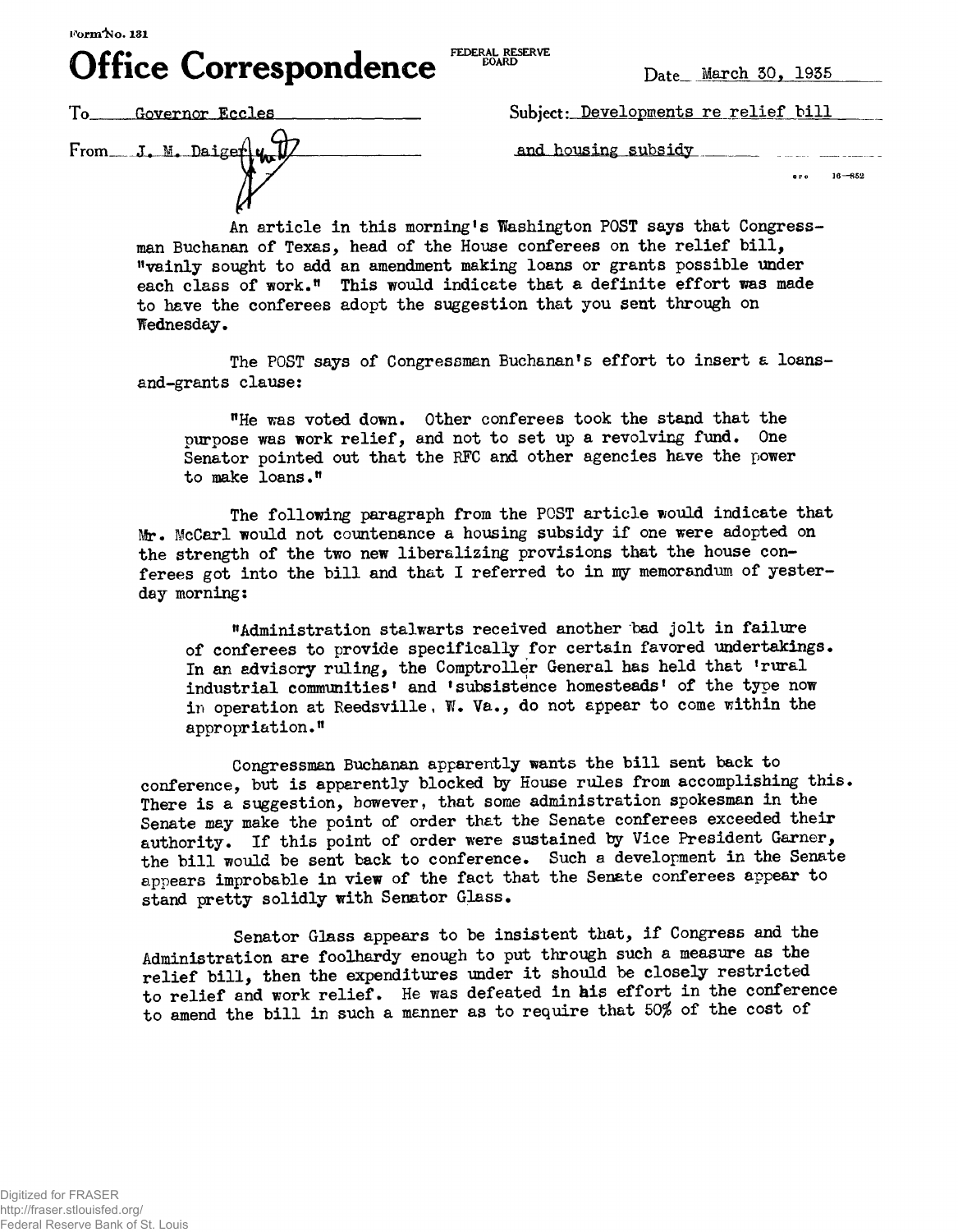*jr\CC\* t~\** **1 FEDERAL RESERVE** FEDERAL RESERVE **BOARD** 

 **Date March 50,1955**

From J. M. Daiger $\left[\psi_{\mathbf{n}}\right]$  and housing subsidy

**Uifice Correspondence** 

To Governor Eccles Subject: Developments re relief bill

 $600 - 16 - 852$ 

An article in this morning's Washington POST says that Congressman Buchanan of Texas, head of the House conferees on the relief bill, "vainly sought to add an amendment making loans or grants possible under each class of work." This would indicate that a definite effort was made to have the conferees adopt the suggestion that you sent through on Wednesday,

The POST says of Congressman Buchanan's effort to insert a loansand-grants clause:

"He was voted down. Other conferees took the stand that the purpose was work relief, and not to set up a revolving fund. One Senator pointed out that the RFC and other agencies have the power to make loans."

The following paragraph from the POST article would indicate that Mr. McCarl would not countenance a housing subsidy if one were adopted on the strength of the two new liberalizing provisions that the house conferees got into the bill and that I referred to in my memorandum of yesterday morning:

"Administration stalwarts received another bad jolt in failure of conferees to provide specifically for certain favored undertakings• In an advisory ruling, the Comptroller General has held that 'rural industrial communities' and 'subsistence homesteads' of the type now in operation at Reedsville, W. Va., do not appear to come within the appropriation."

Congressman Buchanan apparently wants the bill sent back to conference, but is apparently blocked ty House rules from accomplishing this. There is a suggestion, however, that some administration spokesman in the Senate may make the point of order that the Senate conferees exceeded their authority. If this point of order were sustained by Vice President Garner, the bill would be sent back to conference. Such a development in the Senate appears improbable in view of the fact that the Senate conferees appear to stand pretty solidly with Senator Glass.

Senator Glass appears to be insistent that, if Congress and the Administration are foolhardy enough to put through such a measure as the relief bill, then the expenditures under it should be closely restricted to relief and work relief. He was defeated in his effort in the conference to amend the bill in such a manner as to require that 50% of the cost of